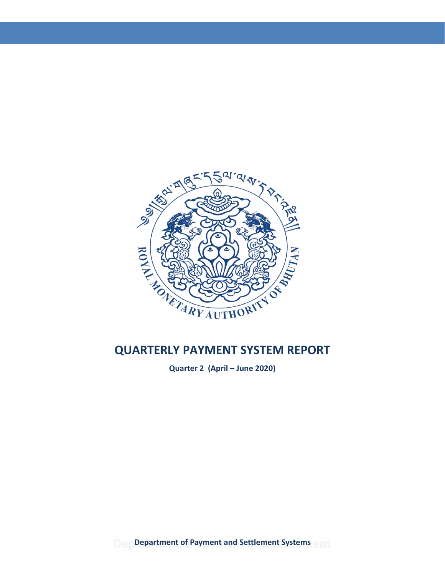

**Quarter 2 (April – June 2020)**

**Department of Payment and Settlement Systems**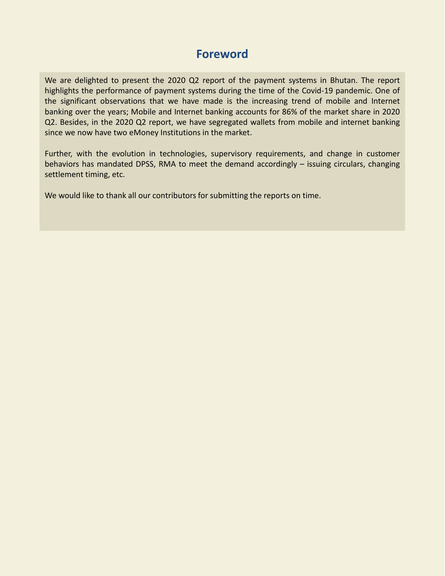# **Foreword**

We are delighted to present the 2020 Q2 report of the payment systems in Bhutan. The report highlights the performance of payment systems during the time of the Covid-19 pandemic. One of the significant observations that we have made is the increasing trend of mobile and Internet banking over the years; Mobile and Internet banking accounts for 86% of the market share in 2020 Q2. Besides, in the 2020 Q2 report, we have segregated wallets from mobile and internet banking since we now have two eMoney Institutions in the market.

Further, with the evolution in technologies, supervisory requirements, and change in customer behaviors has mandated DPSS, RMA to meet the demand accordingly – issuing circulars, changing settlement timing, etc.

We would like to thank all our contributors for submitting the reports on time.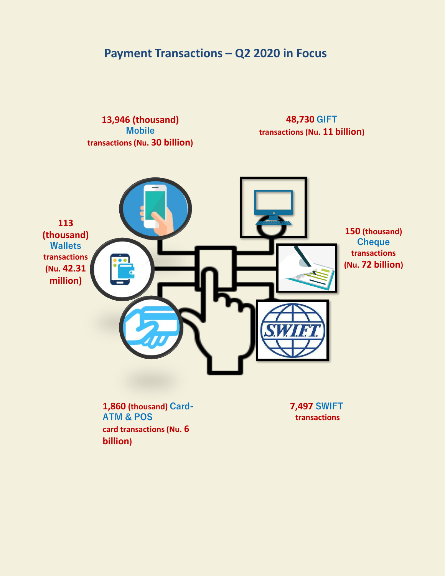# **Payment Transactions – Q2 2020 in Focus**

**13,946 (thousand) Mobile transactions (Nu. 30 billion)** 

# **48,730 GIFT transactions (Nu. 11 billion)**



**1,860 (thousand) Card-ATM & POS card transactions (Nu. 6 billion)**

**7,497 SWIFT transactions**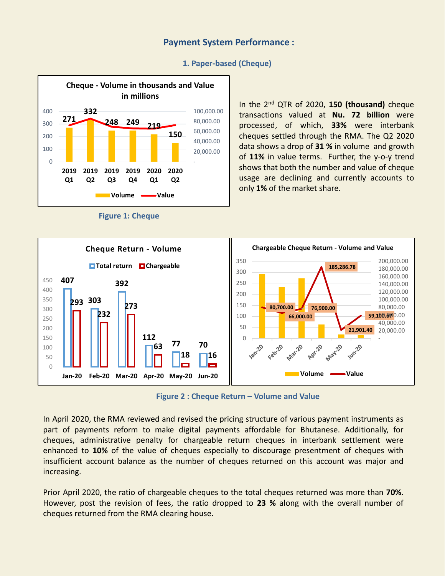## **Payment System Performance :**



#### **1. Paper-based (Cheque)**



In the 2<sup>nd</sup> QTR of 2020, 150 (thousand) cheque transactions valued at **Nu. 72 billion** were processed, of which, **33%** were interbank cheques settled through the RMA. The Q2 2020 data shows a drop of **31 %** in volume and growth of **11%** in value terms. Further, the y-o-y trend shows that both the number and value of cheque usage are declining and currently accounts to only **1%** of the market share.



**Figure 2 : Cheque Return – Volume and Value**

In April 2020, the RMA reviewed and revised the pricing structure of various payment instruments as part of payments reform to make digital payments affordable for Bhutanese. Additionally, for cheques, administrative penalty for chargeable return cheques in interbank settlement were enhanced to **10%** of the value of cheques especially to discourage presentment of cheques with insufficient account balance as the number of cheques returned on this account was major and increasing.

Prior April 2020, the ratio of chargeable cheques to the total cheques returned was more than **70%**. However, post the revision of fees, the ratio dropped to **23 %** along with the overall number of cheques returned from the RMA clearing house.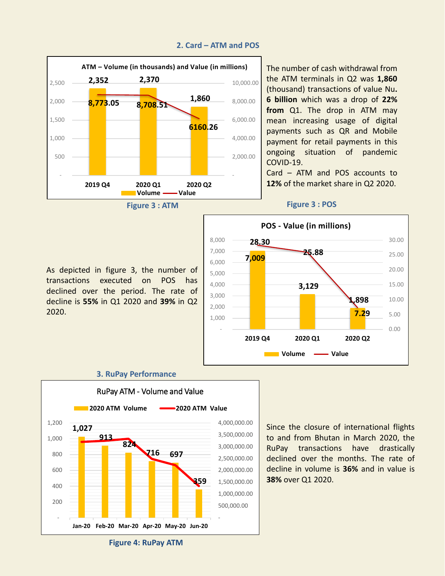

#### **2. Card – ATM and POS**

The number of cash withdrawal from the ATM terminals in Q2 was **1,860** (thousand) transactions of value Nu**. 6 billion** which was a drop of **22% from** Q1. The drop in ATM may mean increasing usage of digital payments such as QR and Mobile payment for retail payments in this ongoing situation of pandemic COVID-19.

Card – ATM and POS accounts to **12%** of the market share in Q2 2020.

#### **Figure 3 : POS**



As depicted in figure 3, the number of transactions executed on POS has declined over the period. The rate of decline is **55%** in Q1 2020 and **39%** in Q2 2020.

#### **3. RuPay Performance**



Since the closure of international flights to and from Bhutan in March 2020, the RuPay transactions have drastically declined over the months. The rate of decline in volume is **36%** and in value is **38%** over Q1 2020.

**Figure 4: RuPay ATM**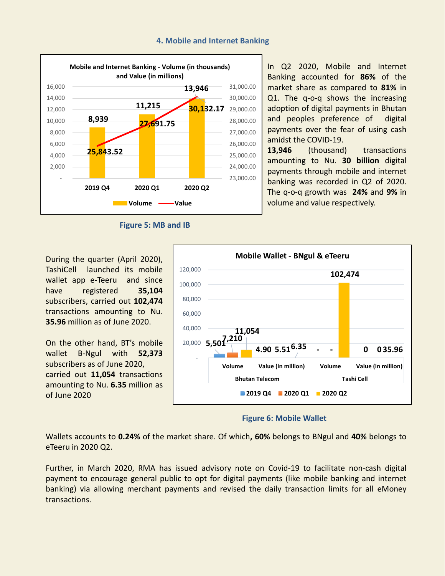#### **4. Mobile and Internet Banking**



**Figure 5: MB and IB** 

During the quarter (April 2020), TashiCell launched its mobile wallet app e-Teeru and since have registered **35,104** subscribers, carried out **102,474** transactions amounting to Nu. **35.96** million as of June 2020.

On the other hand, BT's mobile wallet B-Ngul with **52,373** subscribers as of June 2020, carried out **11,054** transactions amounting to Nu. **6.35** million as of June 2020



**Figure 6: Mobile Wallet**

Wallets accounts to **0.24%** of the market share. Of which**, 60%** belongs to BNgul and **40%** belongs to eTeeru in 2020 Q2.

Further, in March 2020, RMA has issued advisory note on Covid-19 to facilitate non-cash digital payment to encourage general public to opt for digital payments (like mobile banking and internet banking) via allowing merchant payments and revised the daily transaction limits for all eMoney transactions.

In Q2 2020, Mobile and Internet Banking accounted for **86%** of the market share as compared to **81%** in Q1. The q-o-q shows the increasing adoption of digital payments in Bhutan and peoples preference of digital payments over the fear of using cash amidst the COVID-19.

13,946 (thousand) transactions amounting to Nu. **30 billion** digital payments through mobile and internet banking was recorded in Q2 of 2020. The q-o-q growth was **24%** and **9%** in volume and value respectively.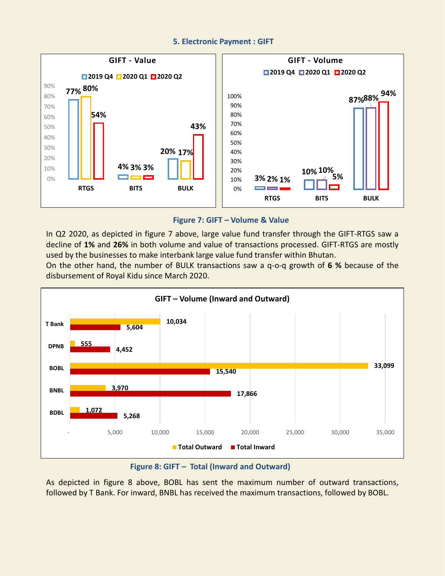#### **5. Electronic Payment : GIFT**



#### **Figure 7: GIFT – Volume & Value**

In Q2 2020, as depicted in figure 7 above, large value fund transfer through the GIFT-RTGS saw a decline of **1%** and **26%** in both volume and value of transactions processed. GIFT-RTGS are mostly used by the businesses to make interbank large value fund transfer within Bhutan.

On the other hand, the number of BULK transactions saw a q-o-q growth of **6 %** because of the disbursement of Royal Kidu since March 2020.



**Figure 8: GIFT – Total (Inward and Outward)**

As depicted in figure 8 above, BOBL has sent the maximum number of outward transactions, followed by T Bank. For inward, BNBL has received the maximum transactions, followed by BOBL.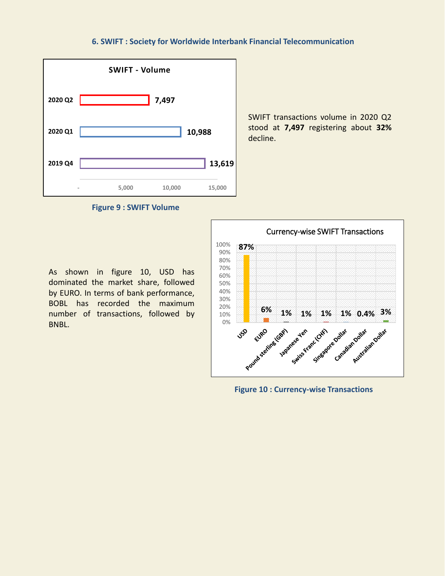#### **6. SWIFT : Society for Worldwide Interbank Financial Telecommunication**



SWIFT transactions volume in 2020 Q2 stood at **7,497** registering about **32%** decline.

**Figure 9 : SWIFT Volume**

As shown in figure 10, USD has dominated the market share, followed by EURO. In terms of bank performance, BOBL has recorded the maximum number of transactions, followed by BNBL.



**Figure 10 : Currency-wise Transactions**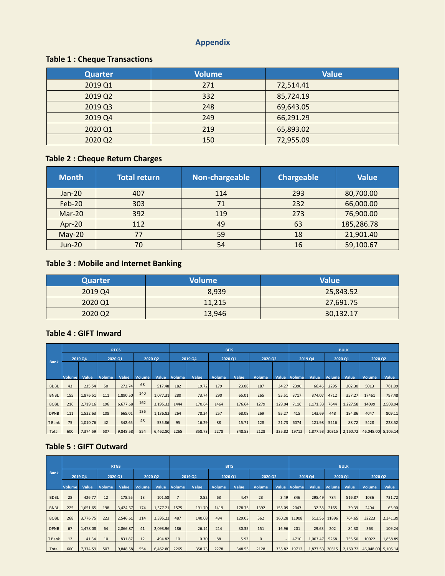# **Appendix**

# **Table 1 : Cheque Transactions**

| <b>Quarter</b> | <b>Volume</b> | <b>Value</b> |
|----------------|---------------|--------------|
| 2019 Q1        | 271           | 72,514.41    |
| 2019 Q2        | 332           | 85,724.19    |
| 2019 Q3        | 248           | 69,643.05    |
| 2019 Q4        | 249           | 66,291.29    |
| 2020 Q1        | 219           | 65,893.02    |
| 2020 Q2        | 150           | 72,955.09    |

# **Table 2 : Cheque Return Charges**

| <b>Month</b>  | <b>Total return</b> | Non-chargeable | <b>Chargeable</b> | <b>Value</b> |
|---------------|---------------------|----------------|-------------------|--------------|
| $Jan-20$      | 407                 | 114            | 293               | 80,700.00    |
| Feb-20        | 303                 | 71             | 232               | 66,000.00    |
| Mar-20        | 392                 | 119            | 273               | 76,900.00    |
| Apr-20        | 112                 | 49             | 63                | 185,286.78   |
| $May-20$      | 77                  | 59             | 18                | 21,901.40    |
| <b>Jun-20</b> | 70                  | 54             | 16                | 59,100.67    |

# **Table 3 : Mobile and Internet Banking**

| <b>Quarter</b> | <b>Volume</b> | <b>Value</b> |
|----------------|---------------|--------------|
| 2019 Q4        | 8.939         | 25,843.52    |
| 2020 Q1        | 11,215        | 27,691.75    |
| 2020 Q2        | 13,946        | 30,132.17    |

### **Table 4 : GIFT Inward**

|             | <b>RTGS</b>   |          |               |          | <b>BITS</b>   |                    |               |         |               |         | <b>BULK</b>   |         |               |                |        |          |                    |          |
|-------------|---------------|----------|---------------|----------|---------------|--------------------|---------------|---------|---------------|---------|---------------|---------|---------------|----------------|--------|----------|--------------------|----------|
| <b>Bank</b> | 2019 Q4       |          |               | 2020 01  |               | 2020 Q2<br>2019 Q4 |               | 2020 01 |               | 2020 Q2 |               | 2019 04 |               | 2020 Q1        |        | 2020 Q2  |                    |          |
|             |               |          |               |          |               |                    |               |         |               |         |               |         |               |                |        |          |                    |          |
|             | <b>Volume</b> | Value    | <b>Volume</b> | Value    | <b>Volume</b> | Value              | <b>Volume</b> | Value   | <b>Volume</b> | Value   | <b>Volume</b> | Value   | <b>Volume</b> | Value          | Volume | Value    | Volume             | Value    |
| <b>BDBL</b> | 43            | 235.54   | 50            | 272.74   | 68            | 517.48             | 182           | 19.72   | 179           | 23.08   | 187           | 34.27   | 2390          | 66.46          | 2295   | 302.30   | 5013               | 761.09   |
| <b>BNBL</b> | 155           | 1,876.51 | 111           | 1,890.50 | 140           | 1,077.31           | 280           | 73.74   | 290           | 65.01   | 265           | 55.51   | 3717          | 374.07         | 4712   | 357.27   | 17461              | 797.48   |
| <b>BOBL</b> | 216           | 2,719.16 | 196           | 6,677.68 | 162           | 3,195.33           | 1444          | 170.64  | 1464          | 176.64  | 1279          | 129.04  | 7116          | 1,171.33       | 7644   | 1,227.58 | 14099              | 2,508.94 |
| <b>DPNB</b> | 111           | 1,532.63 | 108           | 665.01   | 136           | 1,136.82           | 264           | 78.34   | 257           | 68.08   | 269           | 95.27   | 415           | 143.69         | 448    | 184.86   | 4047               | 809.11   |
| T Bank      | 75            | 1,010.76 | 42            | 342.65   | 48            | 535.86             | 95            | 16.29   | 88            | 15.71   | 128           | 21.73   | 6074          | 121.98         | 5216   | 88.72    | 5428               | 228.52   |
| Total       | 600           | 7,374.59 | 507           | 9,848.58 | 554           | 6,462.80           | 2265          | 358.73  | 2278          | 348.53  | 2128          |         | 335.82 19712  | 1,877.53 20315 |        | 2,160.72 | 46,048.00 5,105.14 |          |

# **Table 5 : GIFT Outward**

|             |               | <b>RTGS</b>    |               |          |         |          |               |         |               | <b>BITS</b> |               |        | <b>BULK</b>  |                |               |          |                    |          |
|-------------|---------------|----------------|---------------|----------|---------|----------|---------------|---------|---------------|-------------|---------------|--------|--------------|----------------|---------------|----------|--------------------|----------|
| <b>Bank</b> |               | <b>2019 Q4</b> | 2020 Q1       |          | 2020 Q2 |          |               | 2019 Q4 | 2020 Q1       |             | 2020 Q2       |        |              | 2019 Q4        |               | 2020 Q1  | 2020 Q2            |          |
|             | <b>Volume</b> | <b>Value</b>   | <b>Volume</b> | Value    | Volume  | Value    | <b>Volume</b> | Value   | <b>Volume</b> | Value       | <b>Volume</b> | Value  | Volume       | Value          | <b>Volume</b> | Value    | <b>Volume</b>      | Value    |
| <b>BDBL</b> | 28            | 426.77         | 12            | 178.55   | 13      | 101.58   |               | 0.52    | 63            | 4.47        | 23            | 3.49   | 846          | 298.49         | 784           | 516.87   | 1036               | 731.72   |
| <b>BNBL</b> | 225           | 1,651.65       | 198           | 3,424.67 | 174     | 1,377.21 | 1575          | 191.70  | 1419          | 178.75      | 1392          | 155.09 | 2047         | 32.38          | 2165          | 39.39    | 2404               | 63.90    |
| <b>BOBL</b> | 268           | 3,776.75       | 223           | 2,546.61 | 314     | 2,395.23 | 487           | 140.08  | 494           | 129.03      | 562           |        | 160.28 11908 |                | 513.56 11896  | 764.65   | 32223              | 2,341.39 |
| <b>DPNB</b> | 67            | 1,478.08       | 64            | 2,866.87 | 41      | 2,093.96 | 186           | 26.14   | 214           | 30.35       | 151           | 16.96  | 201          | 29.63          | 202           | 84.30    | 363                | 109.24   |
| T Bank      | 12            | 41.34          | 10            | 831.87   | 12      | 494.82   | 10            | 0.30    | 88            | 5.92        | $\mathbf{0}$  |        | 4710         | 1,003.47       | 5268          | 755.50   | 10022              | 1,858.89 |
| Total       | 600           | 7,374.59       | 507           | 9,848.58 | 554     | 6,462.80 | 2265          | 358.73  | 2278          | 348.53      | 2128          |        | 335.82 19712 | 1,877.53 20315 |               | 2,160.72 | 46,048.00 5,105.14 |          |